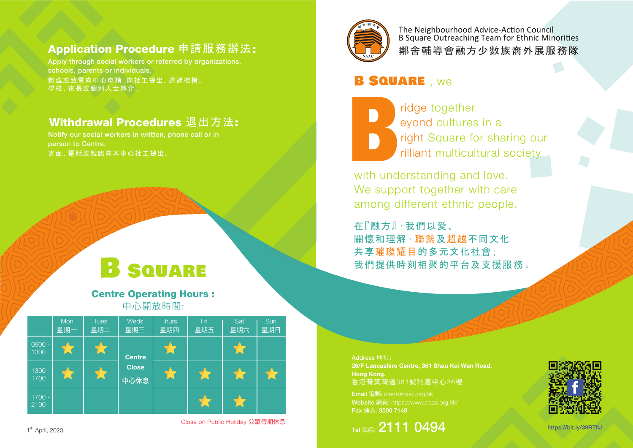### Application Procedure 申請服務辦法:

親臨或致電向中心申請;向社工提出,透過機構、 學校、家長或個別人士轉介。 Apply through social workers or referred by organizations, schools, parents or individuals.

#### Withdrawal Procedures 退出方法:

書面、電話或親臨向本中心社工提出。 Notify our social workers in written, phone call or in person to Centre.

# **B** SQUARE

Centre Operating Hours : 中心開放時間:





鄰舍輔導會融方少數族裔外展服務隊 The Neighbourhood Advice-Action Council B Square Outreaching Team for Ethnic Minorities

## **B SQUARE** , we

 ridge together eyond cultures in a **Fight Square for sharing our** ridge together<br>
eyond cultures in a<br>
right Square for sharing ou<br>
rilliant multicultural society<br>
with understanding and love.

with understanding and love. We support together with care among different ethnic people.

在『融方』·我們以愛、 關懷和理解<sup>,</sup>聯繫及超越不同文化 共享璀璨耀目的多元文化社會; 我們提供時刻相聚的平台及支援服務 。

Address 地址: 26/F Lancashire Centre, 361 Shau Kei Wan Road, Hong Kong. 香港筲箕灣道361號利嘉中心26樓

Email 電郵: otem@naac.org.hk Website 網頁: https://www.naac.org.hk/ Fax 傳真: 3500 7148